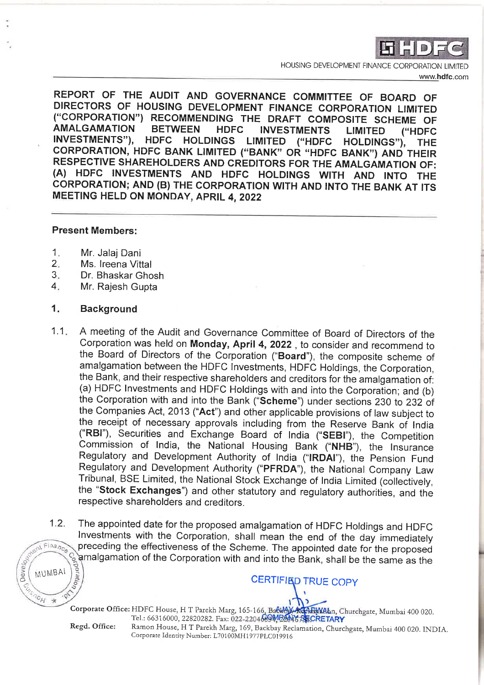

HOUSING DEVELOPMENT FINANCE CORPORATION I IMITED www.hdfc.com

REPORT OF THE AUDIT AND GOVERNANCE COMMITTEE OF BOARD OF DIRECTORS OF HOUSING DEVELOPMENT FINANCE CORPORATION LIMITED ("CORPORATION") RECOMMENDING THE DRAFT COMPOSITE SCHEME OF **AMALGAMATION BETWEEN HDFC INVESTMENTS LIMITED** ("HDFC **INVESTMENTS"),** HDFC HOLDINGS LIMITED ("HDFC HOLDINGS"), **THE** CORPORATION, HDFC BANK LIMITED ("BANK" OR "HDFC BANK") AND THEIR RESPECTIVE SHAREHOLDERS AND CREDITORS FOR THE AMALGAMATION OF: (A) HDFC INVESTMENTS AND HDFC HOLDINGS WITH AND INTO THE CORPORATION; AND (B) THE CORPORATION WITH AND INTO THE BANK AT ITS MEETING HELD ON MONDAY, APRIL 4, 2022

## **Present Members:**

- $\mathbf{1}$ . Mr. Jalai Dani
- $2.$ Ms. Ireena Vittal
- $3.$ Dr. Bhaskar Ghosh.
- $4.$ Mr. Rajesh Gupta

#### 1. **Background**

- A meeting of the Audit and Governance Committee of Board of Directors of the  $1.1...$ Corporation was held on Monday, April 4, 2022, to consider and recommend to the Board of Directors of the Corporation ("Board"), the composite scheme of amalgamation between the HDFC Investments, HDFC Holdings, the Corporation, the Bank, and their respective shareholders and creditors for the amalgamation of: (a) HDFC Investments and HDFC Holdings with and into the Corporation; and (b) the Corporation with and into the Bank ("Scheme") under sections 230 to 232 of the Companies Act, 2013 ("Act") and other applicable provisions of law subject to the receipt of necessary approvals including from the Reserve Bank of India ("RBI"), Securities and Exchange Board of India ("SEBI"), the Competition Commission of India, the National Housing Bank ("NHB"), the Insurance Regulatory and Development Authority of India ("IRDAI"), the Pension Fund Regulatory and Development Authority ("PFRDA"), the National Company Law Tribunal, BSE Limited, the National Stock Exchange of India Limited (collectively, the "Stock Exchanges") and other statutory and regulatory authorities, and the respective shareholders and creditors.
- The appointed date for the proposed amalgamation of HDFC Holdings and HDFC  $1.2.$ Investments with the Corporation, shall mean the end of the day immediately  $F$ Inance preceding the effectiveness of the Scheme. The appointed date for the proposed amalgamation of the Corporation with and into the Bank, shall be the same as the  $\iota_{\mathit{O}}$

Corporate Office: HDFC House, H T Parekh Marg, 165-166, Backey Kan Mahn, Churchgate, Mumbai 400 020. Tel.: 66316000, 22820282. Fax: 022-220469MDAN6 SSCRETARY

Regd. Office:

Development

MUMBAI

 $e_H$  $\chi$ 

> Ramon House, H T Parekh Marg, 169, Backbay Reclamation, Churchgate, Mumbai 400 020. INDIA. Corporate Identity Number: L70100MH1977PLC019916

**CERTIFIED TRUE COPY**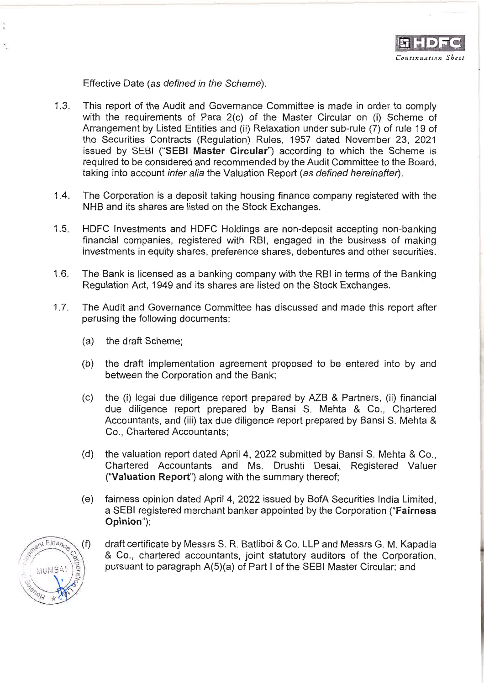

Effective Date (as defined in the Scheme).

- $1.3.$ This report of the Audit and Governance Committee is made in order to comply with the requirements of Para 2(c) of the Master Circular on (i) Scheme of Arrangement by Listed Entities and (ii) Relaxation under sub-rule (7) of rule 19 of the Securities Contracts (Regulation) Rules, 1957 dated November 23, 2021 issued by SEBI ("SEBI Master Circular") according to which the Scheme is required to be considered and recommended by the Audit Committee to the Board. taking into account inter alia the Valuation Report (as defined hereinafter).
- $1.4 -$ The Corporation is a deposit taking housing finance company registered with the NHB and its shares are listed on the Stock Exchanges.
- $1.5$ HDFC Investments and HDFC Holdings are non-deposit accepting non-banking financial companies, registered with RBI, engaged in the business of making investments in equity shares, preference shares, debentures and other securities.
- $1.6.$ The Bank is licensed as a banking company with the RBI in terms of the Banking Regulation Act, 1949 and its shares are listed on the Stock Exchanges.
- $1.7.$ The Audit and Governance Committee has discussed and made this report after perusing the following documents:
	- (a) the draft Scheme;
	- the draft implementation agreement proposed to be entered into by and (b) between the Corporation and the Bank;
	- the (i) legal due diligence report prepared by AZB & Partners, (ii) financial (c) due diligence report prepared by Bansi S. Mehta & Co., Chartered Accountants, and (iii) tax due diligence report prepared by Bansi S. Mehta & Co., Chartered Accountants;
	- the valuation report dated April 4, 2022 submitted by Bansi S. Mehta & Co., (d) Chartered Accountants and Ms. Drushti Desai, Registered Valuer ("Valuation Report") along with the summary thereof;
	- fairness opinion dated April 4, 2022 issued by BofA Securities India Limited, (e) a SEBI registered merchant banker appointed by the Corporation ("Fairness **Opinion")**:



draft certificate by Messrs S. R. Batliboi & Co. LLP and Messrs G. M. Kapadia & Co., chartered accountants, joint statutory auditors of the Corporation, pursuant to paragraph A(5)(a) of Part I of the SEBI Master Circular; and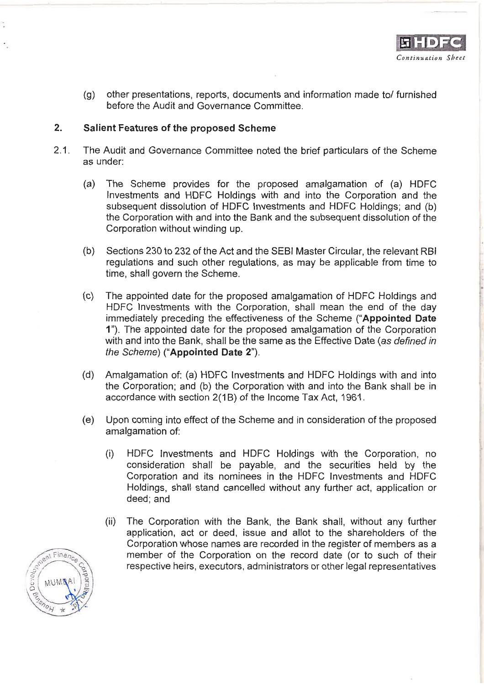other presentations, reports, documents and information made to/furnished  $(q)$ before the Audit and Governance Committee

### $2.$ Salient Features of the proposed Scheme

- $2.1$ The Audit and Governance Committee noted the brief particulars of the Scheme as under:
	- The Scheme provides for the proposed amalgamation of (a) HDFC  $(a)$ Investments and HDFC Holdings with and into the Corporation and the subsequent dissolution of HDFC Investments and HDFC Holdings; and (b) the Corporation with and into the Bank and the subsequent dissolution of the Corporation without winding up.
	- Sections 230 to 232 of the Act and the SEBI Master Circular, the relevant RBI  $(b)$ regulations and such other regulations, as may be applicable from time to time, shall govern the Scheme.
	- $(c)$ The appointed date for the proposed amalgamation of HDFC Holdings and HDFC Investments with the Corporation, shall mean the end of the day immediately preceding the effectiveness of the Scheme ("Appointed Date 1"). The appointed date for the proposed amalgamation of the Corporation with and into the Bank, shall be the same as the Effective Date (as defined in the Scheme) ("Appointed Date 2").
	- Amalgamation of: (a) HDFC Investments and HDFC Holdings with and into  $(d)$ the Corporation; and (b) the Corporation with and into the Bank shall be in accordance with section 2(1B) of the Income Tax Act, 1961.
	- Upon coming into effect of the Scheme and in consideration of the proposed (e) amalgamation of:
		- HDFC Investments and HDFC Holdings with the Corporation, no  $(i)$ consideration shall be payable, and the securities held by the Corporation and its nominees in the HDFC Investments and HDFC Holdings, shall stand cancelled without any further act, application or deed; and
		- $(ii)$ The Corporation with the Bank, the Bank shall, without any further application, act or deed, issue and allot to the shareholders of the Corporation whose names are recorded in the register of members as a member of the Corporation on the record date (or to such of their respective heirs, executors, administrators or other legal representatives

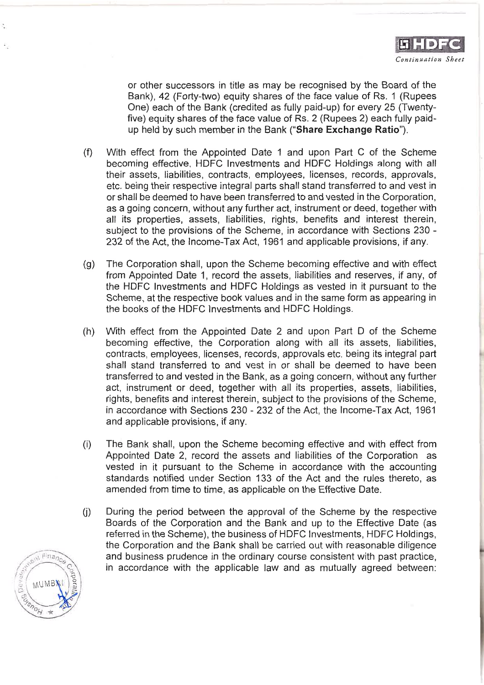or other successors in title as may be recognised by the Board of the Bank), 42 (Forty-two) equity shares of the face value of Rs. 1 (Rupees One) each of the Bank (credited as fully paid-up) for every 25 (Twentyfive) equity shares of the face value of Rs. 2 (Rupees 2) each fully paidup held by such member in the Bank ("Share Exchange Ratio").

- With effect from the Appointed Date 1 and upon Part C of the Scheme  $(f)$ becoming effective. HDFC Investments and HDFC Holdings along with all their assets, liabilities, contracts, employees, licenses, records, approvals, etc. being their respective integral parts shall stand transferred to and vest in or shall be deemed to have been transferred to and vested in the Corporation, as a going concern, without any further act, instrument or deed, together with all its properties, assets, liabilities, rights, benefits and interest therein, subject to the provisions of the Scheme, in accordance with Sections 230 -232 of the Act, the Income-Tax Act, 1961 and applicable provisions, if any.
- $(q)$ The Corporation shall, upon the Scheme becoming effective and with effect from Appointed Date 1, record the assets, liabilities and reserves, if any, of the HDFC Investments and HDFC Holdings as vested in it pursuant to the Scheme, at the respective book values and in the same form as appearing in the books of the HDFC investments and HDFC Holdings.
- $(h)$ With effect from the Appointed Date 2 and upon Part D of the Scheme becoming effective, the Corporation along with all its assets, liabilities, contracts, employees, licenses, records, approvals etc. being its integral part shall stand transferred to and vest in or shall be deemed to have been transferred to and vested in the Bank, as a going concern, without any further act, instrument or deed, together with all its properties, assets, liabilities, rights, benefits and interest therein, subject to the provisions of the Scheme, in accordance with Sections 230 - 232 of the Act, the Income-Tax Act, 1961 and applicable provisions, if any.
- $(i)$ The Bank shall, upon the Scheme becoming effective and with effect from Appointed Date 2, record the assets and liabilities of the Corporation as vested in it pursuant to the Scheme in accordance with the accounting standards notified under Section 133 of the Act and the rules thereto, as amended from time to time, as applicable on the Effective Date.
- During the period between the approval of the Scheme by the respective  $(j)$ Boards of the Corporation and the Bank and up to the Effective Date (as referred in the Scheme), the business of HDFC Investments, HDFC Holdings, the Corporation and the Bank shall be carried out with reasonable diligence and business prudence in the ordinary course consistent with past practice, in accordance with the applicable law and as mutually agreed between:

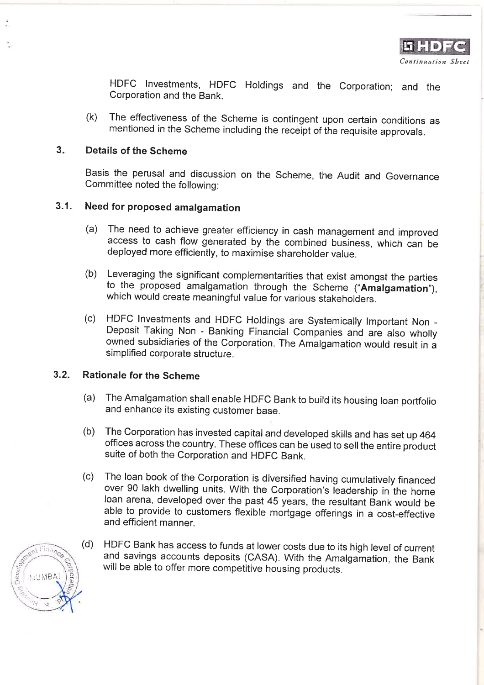HDFC Investments, HDFC Holdings and the Corporation; and the Corporation and the Bank.

The effectiveness of the Scheme is contingent upon certain conditions as  $(k)$ mentioned in the Scheme including the receipt of the requisite approvals.

#### $3.$ Details of the Scheme

Basis the perusal and discussion on the Scheme, the Audit and Governance Committee noted the following:

### $3.1$ Need for proposed amalgamation

- The need to achieve greater efficiency in cash management and improved  $(a)$ access to cash flow generated by the combined business, which can be deployed more efficiently, to maximise shareholder value.
- Leveraging the significant complementarities that exist amongst the parties  $(b)$ to the proposed amalgamation through the Scheme ("Amalgamation"). which would create meaningful value for various stakeholders.
- (c) HDFC Investments and HDFC Holdings are Systemically Important Non -Deposit Taking Non - Banking Financial Companies and are also wholly owned subsidiaries of the Corporation. The Amalgamation would result in a simplified corporate structure.

### $3.2.$ **Rationale for the Scheme**

- The Amalgamation shall enable HDFC Bank to build its housing loan portfolio  $(a)$ and enhance its existing customer base.
- The Corporation has invested capital and developed skills and has set up 464  $(b)$ offices across the country. These offices can be used to sell the entire product suite of both the Corporation and HDFC Bank.
- The loan book of the Corporation is diversified having cumulatively financed  $(c)$ over 90 lakh dwelling units. With the Corporation's leadership in the home loan arena, developed over the past 45 years, the resultant Bank would be able to provide to customers flexible mortgage offerings in a cost-effective and efficient manner.
- $(d)$ HDFC Bank has access to funds at lower costs due to its high level of current and savings accounts deposits (CASA). With the Amalgamation, the Bank will be able to offer more competitive housing products.

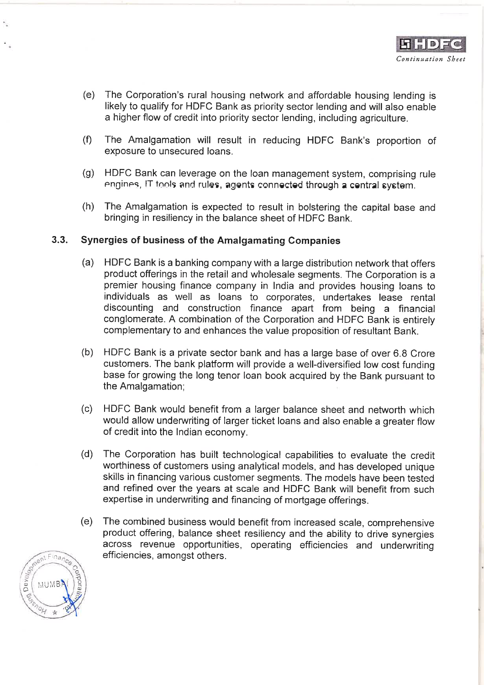- $(e)$ The Corporation's rural housing network and affordable housing lending is likely to qualify for HDFC Bank as priority sector lending and will also enable a higher flow of credit into priority sector lending, including agriculture.
- $(f)$ The Amalgamation will result in reducing HDFC Bank's proportion of exposure to unsecured loans.
- HDFC Bank can leverage on the loan management system, comprising rule  $(q)$ engines, IT tools and rules, agents connected through a central system.
- $(h)$ The Amalgamation is expected to result in bolstering the capital base and bringing in resiliency in the balance sheet of HDFC Bank.

### $3.3.$ Synergies of business of the Amalgamating Companies

- $(a)$ HDFC Bank is a banking company with a large distribution network that offers product offerings in the retail and wholesale segments. The Corporation is a premier housing finance company in India and provides housing loans to individuals as well as loans to corporates, undertakes lease rental discounting and construction finance apart from being a financial conglomerate. A combination of the Corporation and HDFC Bank is entirely complementary to and enhances the value proposition of resultant Bank.
- (b) HDFC Bank is a private sector bank and has a large base of over 6.8 Crore customers. The bank platform will provide a well-diversified low cost funding base for growing the long tenor loan book acquired by the Bank pursuant to the Amalgamation;
- HDFC Bank would benefit from a larger balance sheet and networth which  $(c)$ would allow underwriting of larger ticket loans and also enable a greater flow of credit into the Indian economy.
- $(d)$ The Corporation has built technological capabilities to evaluate the credit worthiness of customers using analytical models, and has developed unique skills in financing various customer segments. The models have been tested and refined over the years at scale and HDFC Bank will benefit from such expertise in underwriting and financing of mortgage offerings.
- (e) The combined business would benefit from increased scale, comprehensive product offering, balance sheet resiliency and the ability to drive synergies across revenue opportunities, operating efficiencies and underwriting efficiencies, amongst others.

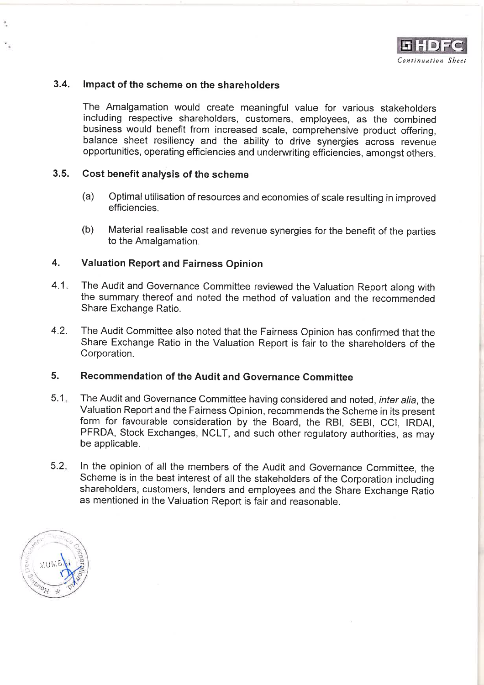

#### $3.4.$ Impact of the scheme on the shareholders

The Amalgamation would create meaningful value for various stakeholders including respective shareholders, customers, employees, as the combined business would benefit from increased scale, comprehensive product offering. balance sheet resiliency and the ability to drive synergies across revenue opportunities, operating efficiencies and underwriting efficiencies, amongst others.

### $3.5.$ Cost benefit analysis of the scheme

- $(a)$ Optimal utilisation of resources and economies of scale resulting in improved efficiencies.
- $(b)$ Material realisable cost and revenue synergies for the benefit of the parties to the Amalgamation.

### $\overline{4}$ . **Valuation Report and Fairness Opinion**

- $4.1.$ The Audit and Governance Committee reviewed the Valuation Report along with the summary thereof and noted the method of valuation and the recommended Share Exchange Ratio.
- $4.2.$ The Audit Committee also noted that the Fairness Opinion has confirmed that the Share Exchange Ratio in the Valuation Report is fair to the shareholders of the Corporation.

### Recommendation of the Audit and Governance Committee 5.

- $5.1 -$ The Audit and Governance Committee having considered and noted, inter alia, the Valuation Report and the Fairness Opinion, recommends the Scheme in its present form for favourable consideration by the Board, the RBI, SEBI, CCI, IRDAI, PFRDA, Stock Exchanges, NCLT, and such other regulatory authorities, as may be applicable.
- $5.2.$ In the opinion of all the members of the Audit and Governance Committee, the Scheme is in the best interest of all the stakeholders of the Corporation including shareholders, customers, lenders and employees and the Share Exchange Ratio as mentioned in the Valuation Report is fair and reasonable.

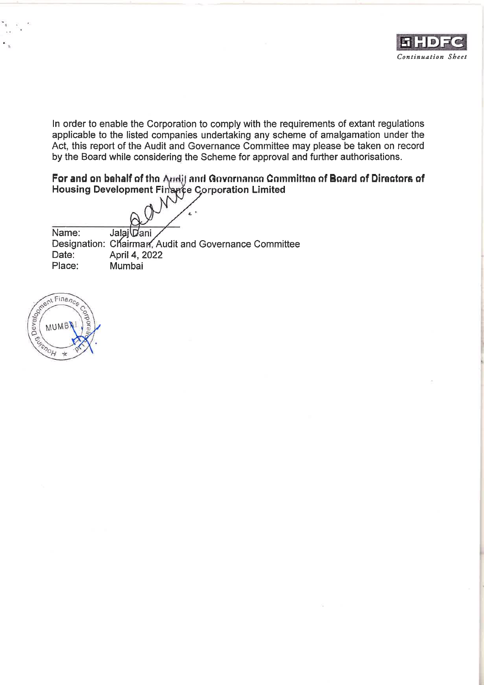

In order to enable the Corporation to comply with the requirements of extant regulations applicable to the listed companies undertaking any scheme of amalgamation under the Act, this report of the Audit and Governance Committee may please be taken on record by the Board while considering the Scheme for approval and further authorisations.

For and on behalf of the Andit and Governance Committee of Board of Directors of Housing Development Finance Corporation Limited

Name: Jalai Dani Designation: Chairman, Audit and Governance Committee April 4, 2022 Date: Place: Mumbai

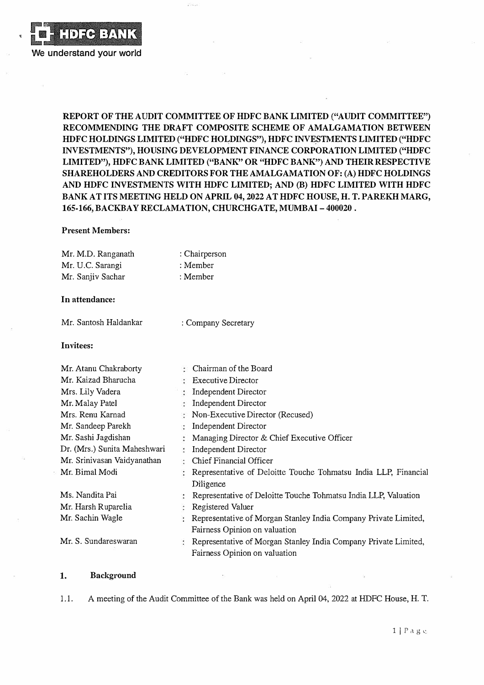

**REPORT OF THE AUDIT COMMITTEE OF HDFC BANK LIMITED ("AUDIT COMMITTEE") RECOMMENDING THE DRAFT COMPOSITE SCHEME OF AMALGAMATION BETWEEN**  HDFC HOLDINGS LIMITED ("HDFC HOLDINGS"), HDFC INVESTMENTS LIMITED ("HDFC **INVESTMENTS"), HOUSING DEVELOPMENT FINANCE CORPORATION LIMITED ("HDFC LIMITED"), HDFC BANK LIMITED ("BANK" OR "HDFC BANK") AND THEIR RESPECTIVE SHAREHOLDERS AND CREDITORS FOR THE AMALGAMATION OF: (A) HDFC HOLDINGS AND HDFC INVESTMENTS WITH HDFC LIMITED; AND (B) HDFC LIMITED WITH HDFC BANK AT ITS MEETING HELD ON APRIL 04, 2022 AT HDFC HOUSE, H. T. PAREKH MARG, 165-166, BACKBAY RECLAMATION, CHURCHGATE, MUMBAI-400020.**

### **Present Members:**

| Mr. M.D. Ranganath           |                     | : Chairperson                                                   |
|------------------------------|---------------------|-----------------------------------------------------------------|
| Mr. U.C. Sarangi             | : Member            |                                                                 |
| Mr. Sanjiv Sachar            | : Member            |                                                                 |
| In attendance:               |                     |                                                                 |
|                              |                     |                                                                 |
| Mr. Santosh Haldankar        | : Company Secretary |                                                                 |
| Invitees:                    |                     |                                                                 |
|                              |                     |                                                                 |
| Mr. Atanu Chakraborty        |                     | : Chairman of the Board                                         |
| Mr. Kaizad Bharucha          |                     | $\therefore$ Executive Director                                 |
| Mrs. Lily Vadera             |                     | Independent Director                                            |
| Mr. Malay Patel              |                     | Independent Director                                            |
| Mrs. Renu Karnad             |                     | Non-Executive Director (Recused)                                |
| Mr. Sandeep Parekh           | đ.                  | Independent Director                                            |
| Mr. Sashi Jagdishan          | ż.                  | Managing Director & Chief Executive Officer                     |
| Dr. (Mrs.) Sunita Maheshwari | ÷                   | Independent Director                                            |
| Mr. Srinivasan Vaidyanathan  |                     | Chief Financial Officer                                         |
| Mr. Bimal Modi               |                     | Representative of Deloitte Touche Tohmatsu India LLP, Financial |
|                              |                     | Diligence                                                       |
| Ms. Nandita Pai              |                     | Representative of Deloitte Touche Tohmatsu India LLP, Valuation |
| Mr. Harsh Ruparelia          |                     | Registered Valuer                                               |
| Mr. Sachin Wagle             |                     | Representative of Morgan Stanley India Company Private Limited, |
|                              |                     | Fairness Opinion on valuation                                   |
| Mr. S. Sundareswaran         |                     | Representative of Morgan Stanley India Company Private Limited, |
|                              |                     | Fairness Opinion on valuation                                   |

### **1. Background**

1.1. A meeting of the Audit Committee of the Bank was held on April 04, 2022 at HDFC House, H. T.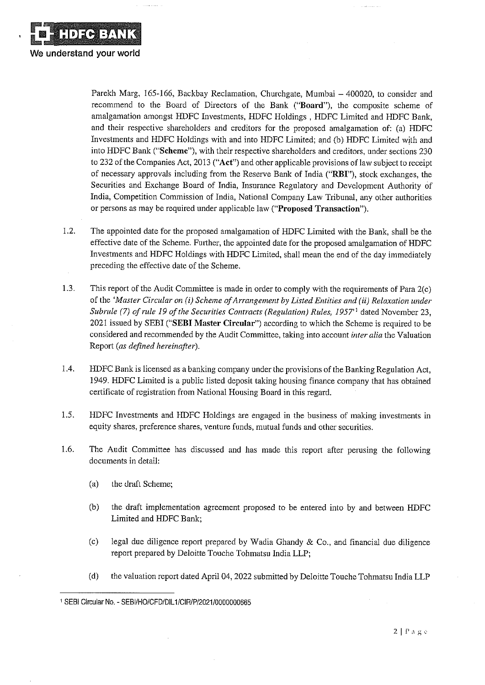

 $\sim$  10  $\sim$  100  $\sim$  100  $\sim$ 

Parekh Marg, 165-166, Backbay Reclamation, Churchgate, Mumbai - 400020, to consider and recommend to the Board of Directors of the Bank ("Board"), the composite scheme of amalgamation amongst HDFC Investments, HDFC Holdings, HDFC Limited and HDFC Bank, and their respective shareholders and creditors for the proposed amalgamation of: (a) HDFC Investments and HDFC Holdings with and into HDFC Limited; and (b) HDFC Limited with and into HDFC Bank ("Scheme"), with their respective shareholders and creditors, under sections 230 to 232 of the Companies Act, 2013 ("Act") and other applicable provisions of law subject to receipt of necessary approvals including from the Reserve Bank of India ("RBI"), stock exchanges, the Securities and Exchange Board of India, Insurance Regulatory and Development Authority of India, Competition Commission of India, National Company Law Tribunal, any other authorities or persons as may be required under applicable law ("Proposed Transaction").

- $1.2.$ The appointed date for the proposed amalgamation of HDFC Limited with the Bank, shall be the effective date of the Scheme. Further, the appointed date for the proposed amalgamation of HDFC Investments and HDFC Holdings with HDFC Limited, shall mean the end of the day immediately preceding the effective date of the Scheme.
- $1.3.$ This report of the Audit Committee is made in order to comply with the requirements of Para 2(c) of the 'Master Circular on (i) Scheme of Arrangement by Listed Entities and (ii) Relaxation under Subrule (7) of rule 19 of the Securities Contracts (Regulation) Rules, 1957<sup>'1</sup> dated November 23, 2021 issued by SEBI ("SEBI Master Circular") according to which the Scheme is required to be considered and recommended by the Audit Committee, taking into account *inter alia* the Valuation Report (as defined hereinafter).
- 1.4. HDFC Bank is licensed as a banking company under the provisions of the Banking Regulation Act, 1949. HDFC Limited is a public listed deposit taking housing finance company that has obtained certificate of registration from National Housing Board in this regard.
- 1.5. HDFC Investments and HDFC Holdings are engaged in the business of making investments in equity shares, preference shares, venture funds, mutual funds and other securities.
- 1.6. The Audit Committee has discussed and has made this report after perusing the following documents in detail:
	- $(a)$ the draft Scheme;
	- $(b)$ the draft implementation agreement proposed to be entered into by and between HDFC Limited and HDFC Bank;
	- $(c)$ legal due diligence report prepared by Wadia Ghandy & Co., and financial due diligence report prepared by Deloitte Touche Tohmatsu India LLP;
	- $(d)$ the valuation report dated April 04, 2022 submitted by Deloitte Touche Tohmatsu India LLP

<sup>1</sup> SEBI Circular No. - SEBI/HO/CFD/DIL1/CIR/P/2021/0000000665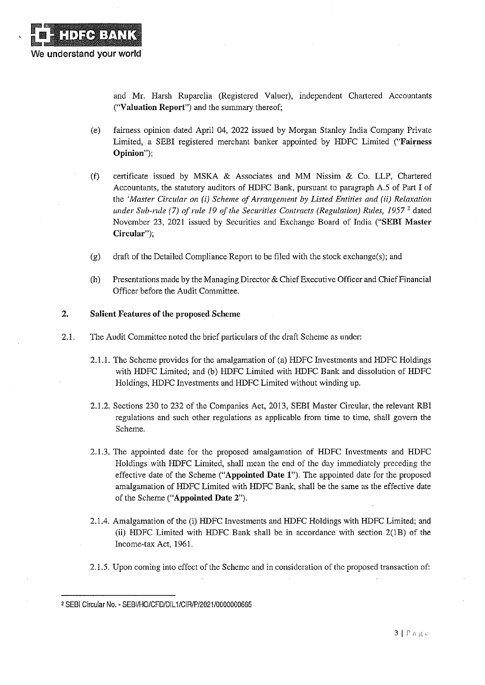and Mr. Harsh Ruparelia (Registered Valuer), independent Chartered Accountants ("Valuation Report") and the summary thereof;

- $(e)$ fairness opinion dated April 04, 2022 issued by Morgan Stanley India Company Private Limited, a SEBI registered merchant banker appointed by HDFC Limited ("Fairness" Opinion");
- $(f)$ certificate issued by MSKA & Associates and MM Nissim & Co. LLP, Chartered Accountants, the statutory auditors of HDFC Bank, pursuant to paragraph A.5 of Part I of the 'Master Circular on (i) Scheme of Arrangement by Listed Entities and (ii) Relaxation under Sub-rule (7) of rule 19 of the Securities Contracts (Regulation) Rules,  $1957<sup>2</sup>$  dated November 23, 2021 issued by Securities and Exchange Board of India ("SEBI Master Circular");
- $(g)$ draft of the Detailed Compliance Report to be filed with the stock exchange(s); and
- Presentations made by the Managing Director & Chief Executive Officer and Chief Financial  $(h)$ Officer before the Audit Committee.

### $2.$ **Salient Features of the proposed Scheme**

- $2.1.$ The Audit Committee noted the brief particulars of the draft Scheme as under:
	- 2.1.1. The Scheme provides for the amalgamation of (a) HDFC Investments and HDFC Holdings with HDFC Limited; and (b) HDFC Limited with HDFC Bank and dissolution of HDFC Holdings, HDFC Investments and HDFC Limited without winding up.
	- 2.1.2. Sections 230 to 232 of the Companies Act, 2013, SEBI Master Circular, the relevant RBI regulations and such other regulations as applicable from time to time, shall govern the Scheme.
	- 2.1.3. The appointed date for the proposed amalgamation of HDFC Investments and HDFC Holdings with HDFC Limited, shall mean the end of the day immediately preceding the effective date of the Scheme ("Appointed Date 1"). The appointed date for the proposed amalgamation of HDFC Limited with HDFC Bank, shall be the same as the effective date of the Scheme ("Appointed Date 2").
	- 2.1.4. Amalgamation of the (i) HDFC Investments and HDFC Holdings with HDFC Limited; and (ii) HDFC Limited with HDFC Bank shall be in accordance with section 2(1B) of the Income-tax Act, 1961.
	- 2.1.5. Upon coming into effect of the Scheme and in consideration of the proposed transaction of:

<sup>2</sup> SEBI Circular No. - SEBI/HO/CFD/DIL1/CIR/P/2021/0000000665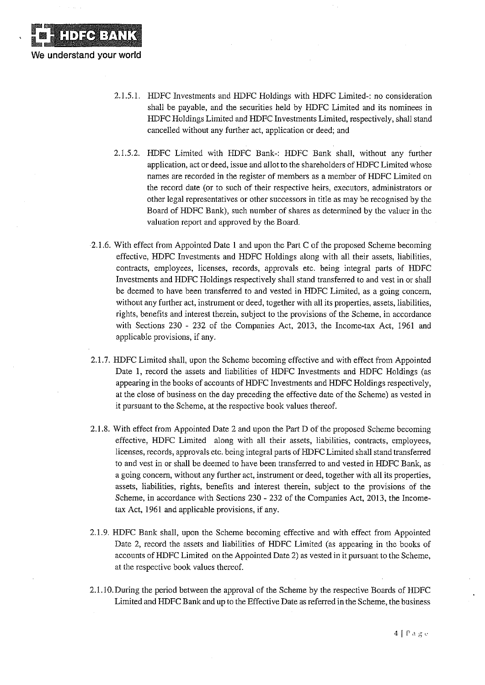

**DECEMIK** 

We understand your world

- 2.1.5.2. HDFC Limited with HDFC Bank-: HDFC Bank shall, without any further application, act or deed, issue and allot to the shareholders of HDFC Limited whose names are recorded in the register of members as a member of HDFC Limited on the record date (or to such of their respective heirs, executors, administrators or other legal representatives or other successors in title as may be recognised by the Board of HDFC Bank), such number of shares as determined by the valuer in the valuation report and approved by the Board.
- 2.1.6. With effect from Appointed Date 1 and upon the Part C of the proposed Scheme becoming effective, HDFC Investments and HDFC Holdings along with all their assets, liabilities, contracts, employees, licenses, records, approvals etc. being integral parts of HDFC Investments and HDFC Holdings respectively shall stand transferred to and vest in or shall be deemed to have been transferred to and vested in HDFC Limited, as a going concern, without any further act, instrument or deed, together with all its properties, assets, liabilities, rights, benefits and interest therein, subject to the provisions of the Scheme, in accordance with Sections 230 - 232 of the Companies Act, 2013, the Income-tax Act, 1961 and applicable provisions, if any.
- 2.1.7. HDFC Limited shall, upon the Scheme becoming effective and with effect from Appointed Date 1, record the assets and liabilities of HDFC Investments and HDFC Holdings (as appearing in the books of accounts of HDFC Investments and HDFC Holdings respectively, at the close of business on the day preceding the effective date of the Scheme) as vested in it pursuant to the Scheme, at the respective book values thereof.
- 2.1.8. With effect from Appointed Date 2 and upon the Part D of the proposed Scheme becoming effective, HDFC Limited along with all their assets, liabilities, contracts, employees, licenses, records, approvals etc. being integral parts of HDFC Limited shall stand transferred to and vest in or shall be deemed to have been transferred to and vested in HDFC Bank, as a going concern, without any further act, instrument or deed, together with all its properties, assets, liabilities, rights, benefits and interest therein, subject to the provisions of the Scheme, in accordance with Sections 230 - 232 of the Companies Act, 2013, the Incometax Act, 1961 and applicable provisions, if any.
- 2.1.9. HDFC Bank shall, upon the Scheme becoming effective and with effect from Appointed Date 2, record the assets and liabilities of HDFC Limited (as appearing in the books of accounts of HDFC Limited on the Appointed Date 2) as vested in it pursuant to the Scheme, at the respective book values thereof.
- 2.1.10. During the period between the approval of the Scheme by the respective Boards of HDFC Limited and HDFC Bank and up to the Effective Date as referred in the Scheme, the business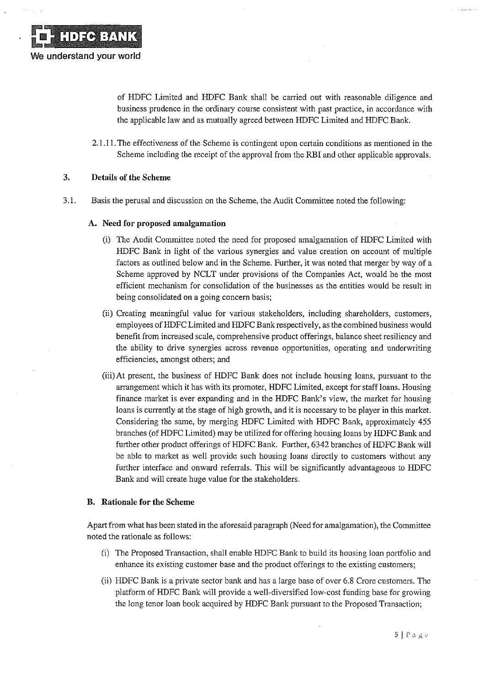of HDFC Limited and HDFC Bank shall be carried out with reasonable diligence and business prudence in the ordinary course consistent with past practice, in accordance with the applicable law and as mutually agreed between HDFC Limited and HDFC Bank.

2.1.11. The effectiveness of the Scheme is contingent upon certain conditions as mentioned in the Scheme including the receipt of the approval from the RBI and other applicable approvals.

#### $3.$ **Details of the Scheme**

 $3.1.$ Basis the perusal and discussion on the Scheme, the Audit Committee noted the following:

## A. Need for proposed amalgamation

- (i) The Audit Committee noted the need for proposed amalgamation of HDFC Limited with HDFC Bank in light of the various synergies and value creation on account of multiple factors as outlined below and in the Scheme. Further, it was noted that merger by way of a Scheme approved by NCLT under provisions of the Companies Act, would be the most efficient mechanism for consolidation of the businesses as the entities would be result in being consolidated on a going concern basis;
- (ii) Creating meaningful value for various stakeholders, including shareholders, customers, employees of HDFC Limited and HDFC Bank respectively, as the combined business would benefit from increased scale, comprehensive product offerings, balance sheet resiliency and the ability to drive synergies across revenue opportunities, operating and underwriting efficiencies, amongst others; and
- (iii) At present, the business of HDFC Bank does not include housing loans, pursuant to the arrangement which it has with its promoter, HDFC Limited, except for staff loans. Housing finance market is ever expanding and in the HDFC Bank's view, the market for housing loans is currently at the stage of high growth, and it is necessary to be player in this market. Considering the same, by merging HDFC Limited with HDFC Bank, approximately 455 branches (of HDFC Limited) may be utilized for offering housing loans by HDFC Bank and further other product offerings of HDFC Bank. Further, 6342 branches of HDFC Bank will be able to market as well provide such housing loans directly to customers without any further interface and onward referrals. This will be significantly advantageous to HDFC Bank and will create huge value for the stakeholders.

### **B.** Rationale for the Scheme

- Apart from what has been stated in the aforesaid paragraph (Need for amalgamation), the Committee noted the rationale as follows:
	- (i) The Proposed Transaction, shall enable HDFC Bank to build its housing loan portfolio and enhance its existing customer base and the product offerings to the existing customers;
	- (ii) HDFC Bank is a private sector bank and has a large base of over 6.8 Crore customers. The platform of HDFC Bank will provide a well-diversified low-cost funding base for growing the long tenor loan book acquired by HDFC Bank pursuant to the Proposed Transaction;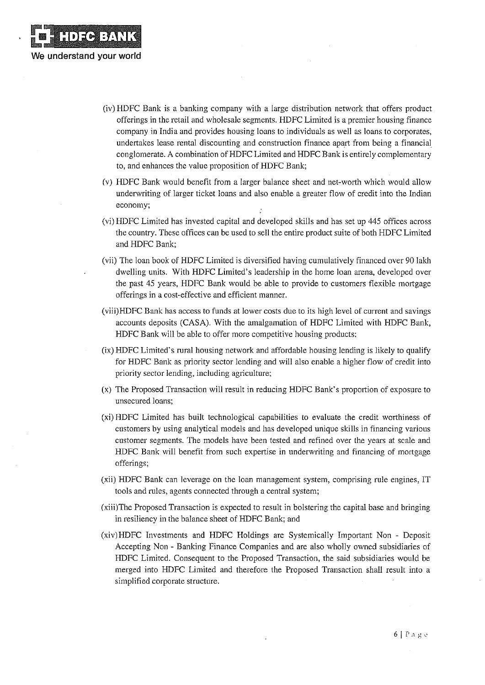(iv) HDFC Bank is a banking company with a large distribution network that offers product offerings in the retail and wholesale segments. HDFC Limited is a premier housing finance company in India and provides housing loans to individuals as well as loans to corporates, undertakes lease rental discounting and construction finance apart from being a financial conglomerate. A combination of HDFC Limited and HDFC Bank is entirely complementary to, and enhances the value proposition of HDFC Bank;

**DEE BATK** 

We understand your world

- (v) HDFC Bank would benefit from a larger balance sheet and net-worth which would allow underwriting of larger ticket loans and also enable a greater flow of credit into the Indian economy;
- (vi) HDFC Limited has invested capital and developed skills and has set up 445 offices across the country. These offices can be used to sell the entire product suite of both HDFC Limited and HDFC Bank;
- (vii) The loan book of HDFC Limited is diversified having cumulatively financed over 90 lakh dwelling units. With HDFC Limited's leadership in the home loan arena, developed over the past 45 years, HDFC Bank would be able to provide to customers flexible mortgage offerings in a cost-effective and efficient manner.
- (viii)HDFC Bank has access to funds at lower costs due to its high level of current and savings accounts deposits (CASA). With the amalgamation of HDFC Limited with HDFC Bank, HDFC Bank will be able to offer more competitive housing products;
- (ix) HDFC Limited's rural housing network and affordable housing lending is likely to qualify for HDFC Bank as priority sector lending and will also enable a higher flow of credit into priority sector lending, including agriculture;
- (x) The Proposed Transaction will result in reducing HDFC Bank's proportion of exposure to unsecured loans;
- (xi) HDFC Limited has built technological capabilities to evaluate the credit worthiness of customers by using analytical models and has developed unique skills in financing various customer segments. The models have been tested and refined over the years at scale and HDFC Bank will benefit from such expertise in underwriting and financing of mortgage offerings;
- (xii) HDFC Bank can leverage on the loan management system, comprising rule engines, IT tools and rules, agents connected through a central system;
- (xiii) The Proposed Transaction is expected to result in bolstering the capital base and bringing in resiliency in the balance sheet of HDFC Bank; and
- (xiv)HDFC Investments and HDFC Holdings are Systemically Important Non Deposit Accepting Non - Banking Finance Companies and are also wholly owned subsidiaries of HDFC Limited. Consequent to the Proposed Transaction, the said subsidiaries would be merged into HDFC Limited and therefore the Proposed Transaction shall result into a simplified corporate structure.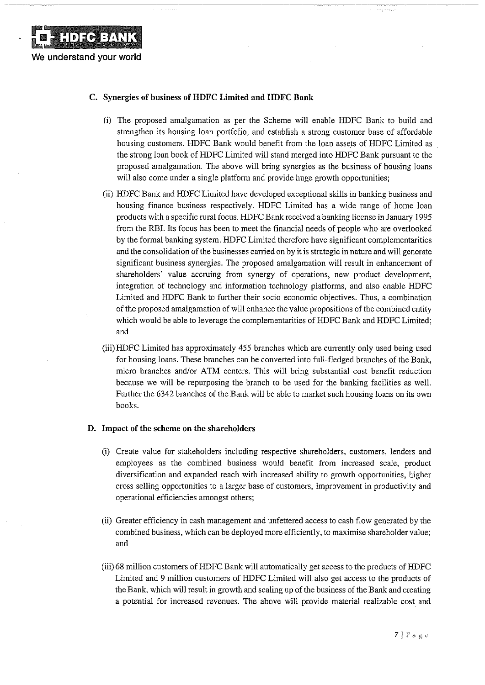

## C. Synergies of business of HDFC Limited and HDFC Bank

- (i) The proposed amalgamation as per the Scheme will enable HDFC Bank to build and strengthen its housing loan portfolio, and establish a strong customer base of affordable housing customers. HDFC Bank would benefit from the loan assets of HDFC Limited as the strong loan book of HDFC Limited will stand merged into HDFC Bank pursuant to the proposed amalgamation. The above will bring synergies as the business of housing loans will also come under a single platform and provide huge growth opportunities;
- (ii) HDFC Bank and HDFC Limited have developed exceptional skills in banking business and housing finance business respectively. HDFC Limited has a wide range of home loan products with a specific rural focus. HDFC Bank received a banking license in January 1995 from the RBI. Its focus has been to meet the financial needs of people who are overlooked by the formal banking system. HDFC Limited therefore have significant complementarities and the consolidation of the businesses carried on by it is strategic in nature and will generate significant business synergies. The proposed amalgamation will result in enhancement of shareholders' value accruing from synergy of operations, new product development, integration of technology and information technology platforms, and also enable HDFC Limited and HDFC Bank to further their socio-economic objectives. Thus, a combination of the proposed amalgamation of will enhance the value propositions of the combined entity which would be able to leverage the complementarities of HDFC Bank and HDFC Limited; and
- (iii) HDFC Limited has approximately 455 branches which are currently only used being used for housing loans. These branches can be converted into full-fledged branches of the Bank, micro branches and/or ATM centers. This will bring substantial cost benefit reduction because we will be repurposing the branch to be used for the banking facilities as well. Further the 6342 branches of the Bank will be able to market such housing loans on its own books.

### D. Impact of the scheme on the shareholders

- (i) Create value for stakeholders including respective shareholders, customers, lenders and employees as the combined business would benefit from increased scale, product diversification and expanded reach with increased ability to growth opportunities, higher cross selling opportunities to a larger base of customers, improvement in productivity and operational efficiencies amongst others;
- (ii) Greater efficiency in cash management and unfettered access to cash flow generated by the combined business, which can be deployed more efficiently, to maximise shareholder value; and
- (iii) 68 million customers of HDFC Bank will automatically get access to the products of HDFC Limited and 9 million customers of HDFC Limited will also get access to the products of the Bank, which will result in growth and scaling up of the business of the Bank and creating a potential for increased revenues. The above will provide material realizable cost and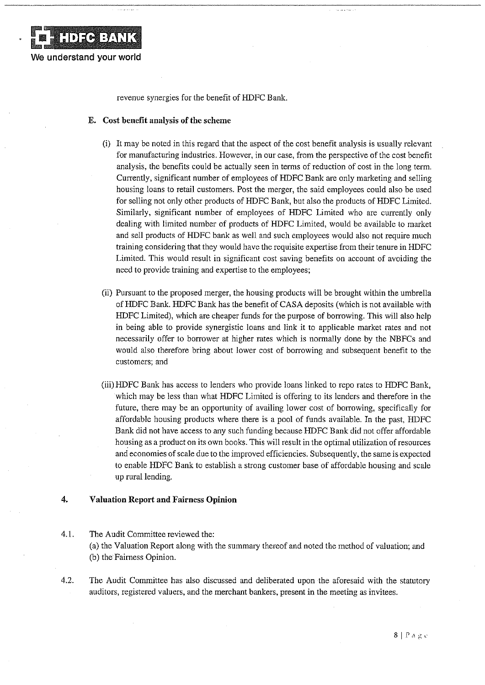

revenue synergies for the benefit of HDFC Bank.

### E. Cost benefit analysis of the scheme

- (i) It may be noted in this regard that the aspect of the cost benefit analysis is usually relevant for manufacturing industries. However, in our case, from the perspective of the cost benefit analysis, the benefits could be actually seen in terms of reduction of cost in the long term. Currently, significant number of employees of HDFC Bank are only marketing and selling housing loans to retail customers. Post the merger, the said employees could also be used for selling not only other products of HDFC Bank, but also the products of HDFC Limited. Similarly, significant number of employees of HDFC Limited who are currently only dealing with limited number of products of HDFC Limited, would be available to market and sell products of HDFC bank as well and such employees would also not require much training considering that they would have the requisite expertise from their tenure in HDFC Limited. This would result in significant cost saving benefits on account of avoiding the need to provide training and expertise to the employees;
- (ii) Pursuant to the proposed merger, the housing products will be brought within the umbrella of HDFC Bank. HDFC Bank has the benefit of CASA deposits (which is not available with HDFC Limited), which are cheaper funds for the purpose of borrowing. This will also help in being able to provide synergistic loans and link it to applicable market rates and not necessarily offer to borrower at higher rates which is normally done by the NBFCs and would also therefore bring about lower cost of borrowing and subsequent benefit to the customers; and
- (iii) HDFC Bank has access to lenders who provide loans linked to repo rates to HDFC Bank. which may be less than what HDFC Limited is offering to its lenders and therefore in the future, there may be an opportunity of availing lower cost of borrowing, specifically for affordable housing products where there is a pool of funds available. In the past, HDFC Bank did not have access to any such funding because HDFC Bank did not offer affordable housing as a product on its own books. This will result in the optimal utilization of resources and economies of scale due to the improved efficiencies. Subsequently, the same is expected to enable HDFC Bank to establish a strong customer base of affordable housing and scale up rural lending.

#### 4. **Valuation Report and Fairness Opinion**

4.1.

The Audit Committee reviewed the: (a) the Valuation Report along with the summary thereof and noted the method of valuation; and (b) the Fairness Opinion.

4.2. The Audit Committee has also discussed and deliberated upon the aforesaid with the statutory auditors, registered valuers, and the merchant bankers, present in the meeting as invitees.